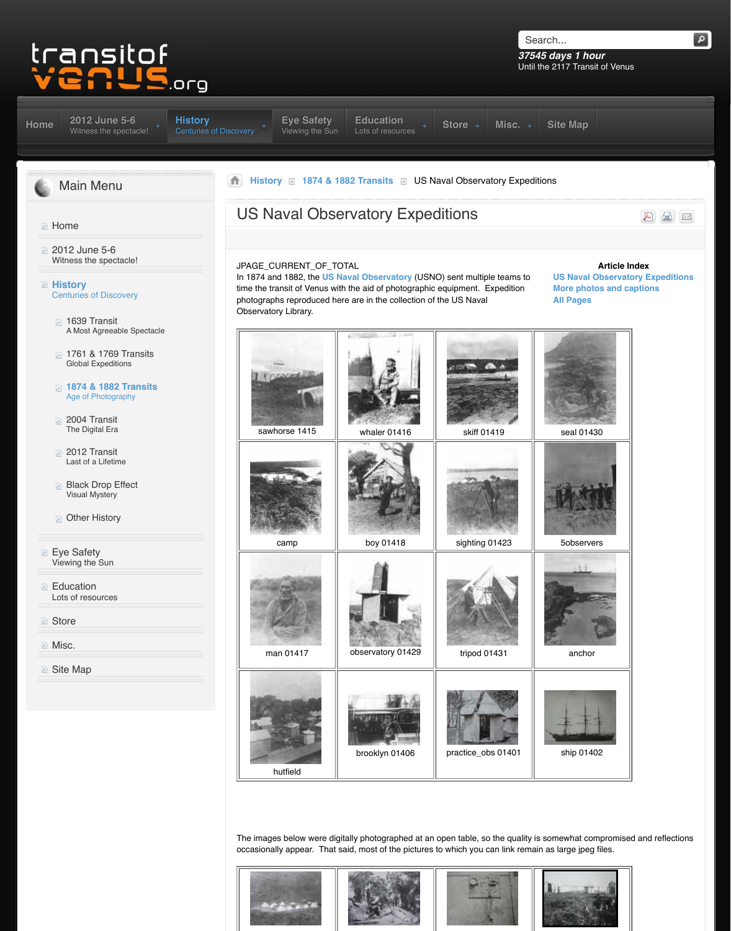| <b>1874 &amp; 1882 Transits</b><br><b>Age of Photography</b> |
|--------------------------------------------------------------|
| 2004 Transit<br>The Digital Era                              |
| 2012 Transit<br>Last of a Lifetime                           |
| <b>Black Drop Effect</b><br><b>Visual Mystery</b>            |
| <b>Other History</b>                                         |
| <b>Eye Safety</b><br>Viewing the Sun                         |
| <b>Education</b><br>Lots of resources                        |
| <b>B</b> Store                                               |
| <b>Misc.</b>                                                 |
| <b>E</b> Site Map                                            |
|                                                              |



Th[e images below wer](http://www.transitofvenus.org/images/stories/USNO2/usno-camp00023.jpg)e digit[ally photographed a](http://www.transitofvenus.org/images/stories/USNO2/usno-boy-med.jpg)t an occasionally appear. That said, most of the pictures to

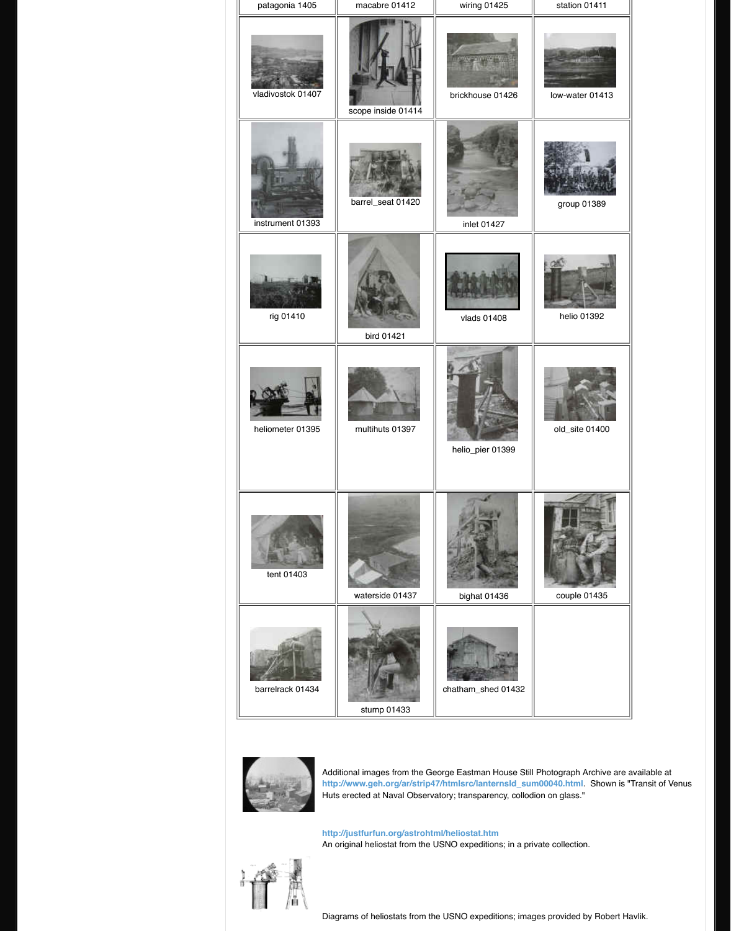



Additi[onal images from the](http://www.transitofvenus.org/images/stories/USNO2/usno-multihuts01397.jpg) Ge http://www.geh.org/ar/strip4 Huts erected at Naval Observatory

http://justfurfun.org/astrohtr An original heliostat from the U



Diagra[ms of heliostats from](http://www.transitofvenus.org/images/stories/USNO2/usno-waterside01437.jpg) th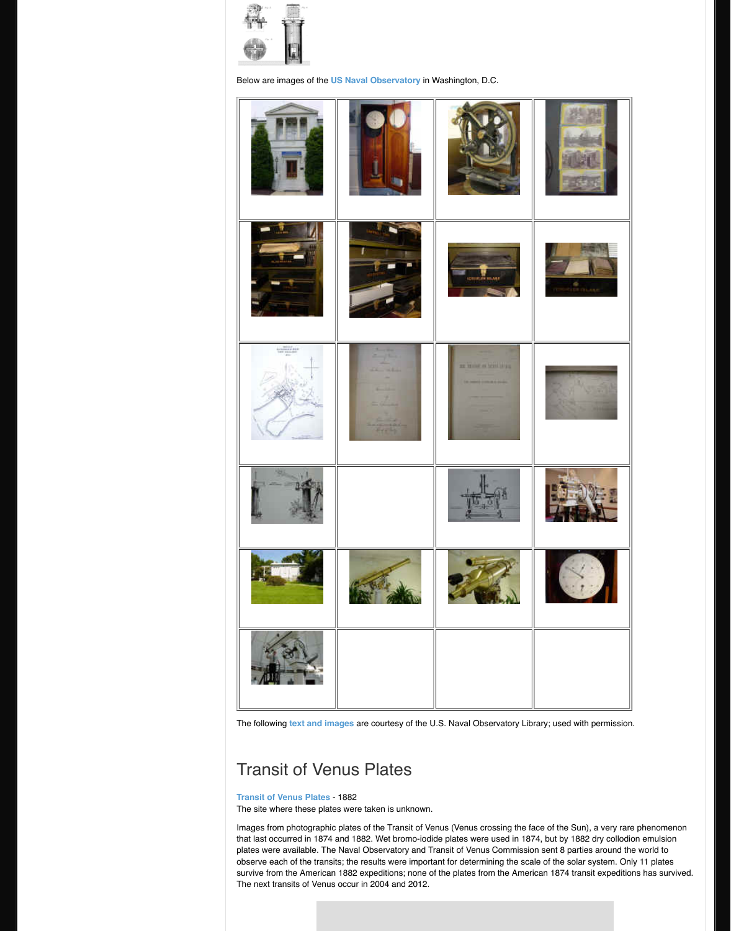

The following **text and images** are courtesy of the U.S.

## T[ransit of V](http://www.transitofvenus.org/images/stories/USNO2/usno-queenstown01386.jpg)en[us Plates](http://www.transitofvenus.org/images/stories/USNO2/usno-computations01338.jpg)

## **Transit of Venus Plates** - 1882

The site where these plates were taken is unknown.

Images from photographic plates of the Transit of Venus crossing the face of the face of the Sun tha[t last occurred in 18](http://www.transitofvenus.org/images/stories/USNO2/usno-piers01390.jpg)74 and 1882. Wet bromo-iodide plates were available. The Naval Observatory and Tr observe each of the transits; the results were importa survive from the American 1882 expeditions; none of The next transits of Venus occur in 2004 and 2012.